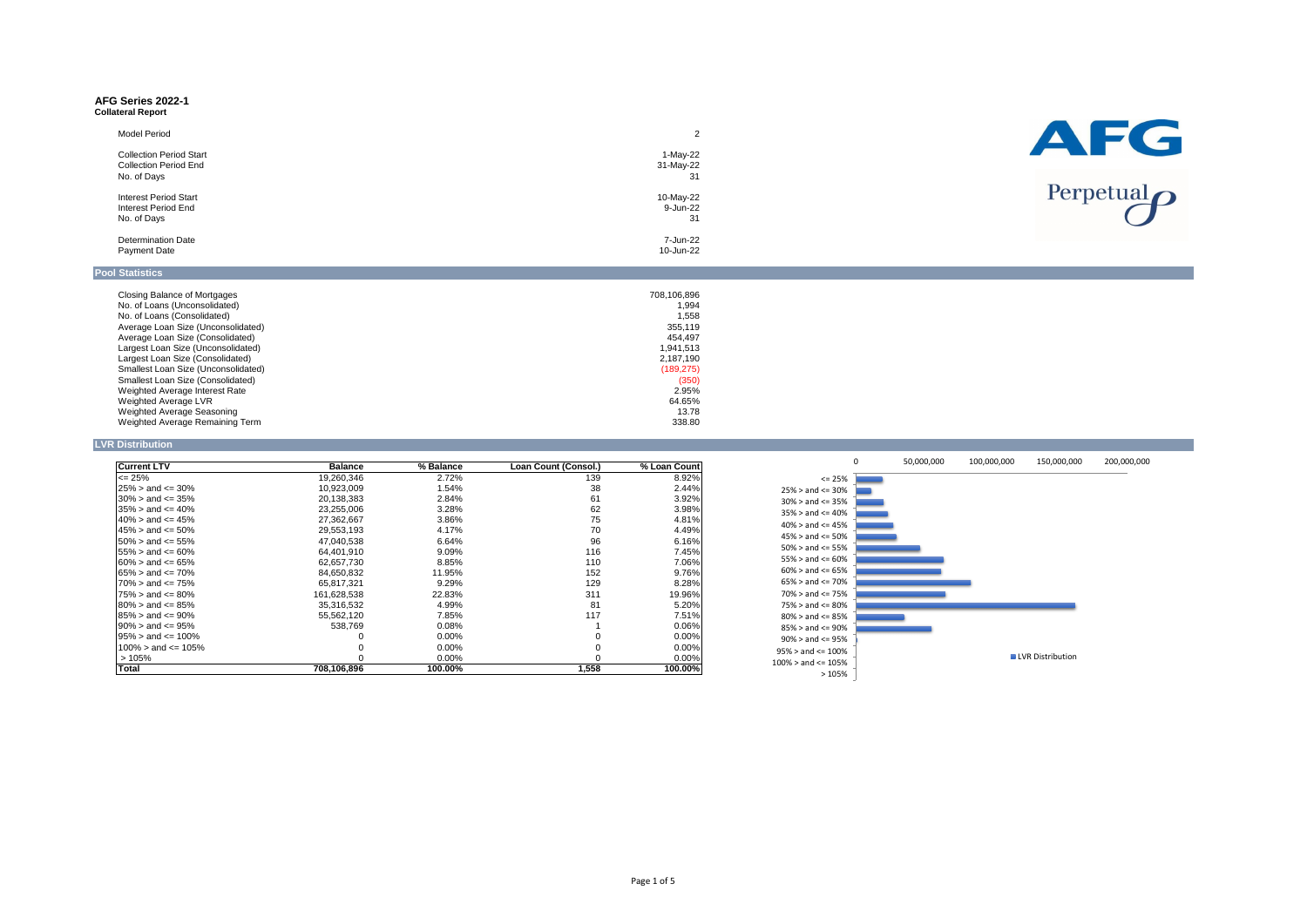#### **AFG Series 2022-1 Collateral Report**

| <b>Model Period</b><br><b>Collection Period Start</b><br><b>Collection Period End</b> | 1-May-22<br>31-May-22 |
|---------------------------------------------------------------------------------------|-----------------------|
| No. of Days                                                                           | 31                    |
| <b>Interest Period Start</b>                                                          | 10-May-22             |
| Interest Period End                                                                   | 9-Jun-22              |
| No. of Days                                                                           | 31                    |
| <b>Determination Date</b>                                                             | 7-Jun-22              |
| <b>Payment Date</b>                                                                   | 10-Jun-22             |

| Closing Balance of Mortgages             | 708,106,896 |
|------------------------------------------|-------------|
| No. of Loans (Unconsolidated)            | 1,994       |
| No. of Loans (Consolidated)              | 1.558       |
| Average Loan Size (Unconsolidated)       | 355,119     |
| Average Loan Size (Consolidated)         | 454.497     |
| Largest Loan Size (Unconsolidated)       | 1.941.513   |
| Largest Loan Size (Consolidated)         | 2,187,190   |
| Smallest Loan Size (Unconsolidated)      | (189, 275)  |
| <b>Smallest Loan Size (Consolidated)</b> | (350)       |
| Weighted Average Interest Rate           | 2.95%       |
| Weighted Average LVR                     | 64.65%      |
| Weighted Average Seasoning               | 13.78       |
| Weighted Average Remaining Term          | 338.80      |

**LVR Distribution**

| <b>Current LTV</b>           | <b>Balance</b> | % Balance | <b>Loan Count (Consol.)</b> | % Loan Count |              |
|------------------------------|----------------|-----------|-----------------------------|--------------|--------------|
| $\epsilon$ = 25%             | 19,260,346     | 2.72%     | 139                         | 8.92%        |              |
| $25\% >$ and $\leq 30\%$     | 10,923,009     | 1.54%     | 38                          | 2.44%        | 25% > a      |
| $30\% >$ and $\leq 35\%$     | 20,138,383     | 2.84%     | 61                          | 3.92%        | 30% > a      |
| $35\% >$ and $\leq 40\%$     | 23,255,006     | 3.28%     | 62                          | 3.98%        | 35% > a      |
| $40\% >$ and $\leq 45\%$     | 27,362,667     | 3.86%     | 75                          | 4.81%        | 40% > a      |
| $145\% >$ and <= 50%         | 29,553,193     | 4.17%     | 70                          | 4.49%        |              |
| $50\% >$ and $\leq 55\%$     | 47,040,538     | 6.64%     | 96                          | 6.16%        | 45% > a      |
| $155\% >$ and $\leq 60\%$    | 64,401,910     | 9.09%     | 116                         | 7.45%        | 50% > a      |
| $160\% > \text{and} <= 65\%$ | 62,657,730     | 8.85%     | 110                         | 7.06%        | 55% > a      |
| $65\% >$ and $\leq 70\%$     | 84,650,832     | 11.95%    | 152                         | 9.76%        | 60% > a      |
| $70\% >$ and $\leq 75\%$     | 65,817,321     | 9.29%     | 129                         | 8.28%        | 65% > a      |
| $75\% >$ and $\leq 80\%$     | 161,628,538    | 22.83%    | 311                         | 19.96%       | 70% > a      |
| $80\% >$ and $\leq 85\%$     | 35,316,532     | 4.99%     | 81                          | 5.20%        | 75% > a      |
| $85\% >$ and $\leq 90\%$     | 55,562,120     | 7.85%     | 117                         | 7.51%        | 80% > a      |
| $90\%$ > and <= 95%          | 538,769        | 0.08%     |                             | 0.06%        | 85% > a      |
| $95\% >$ and $\leq 100\%$    |                | $0.00\%$  | 0                           | $0.00\%$     | 90% > a      |
| $100\%$ > and <= 105%        |                | $0.00\%$  | 0                           | $0.00\%$     | 95% > an     |
| >105%                        |                | $0.00\%$  | 0                           | $0.00\%$     |              |
| Total                        | 708,106,896    | 100.00%   | 1,558                       | 100.00%      | $100\%$ > an |



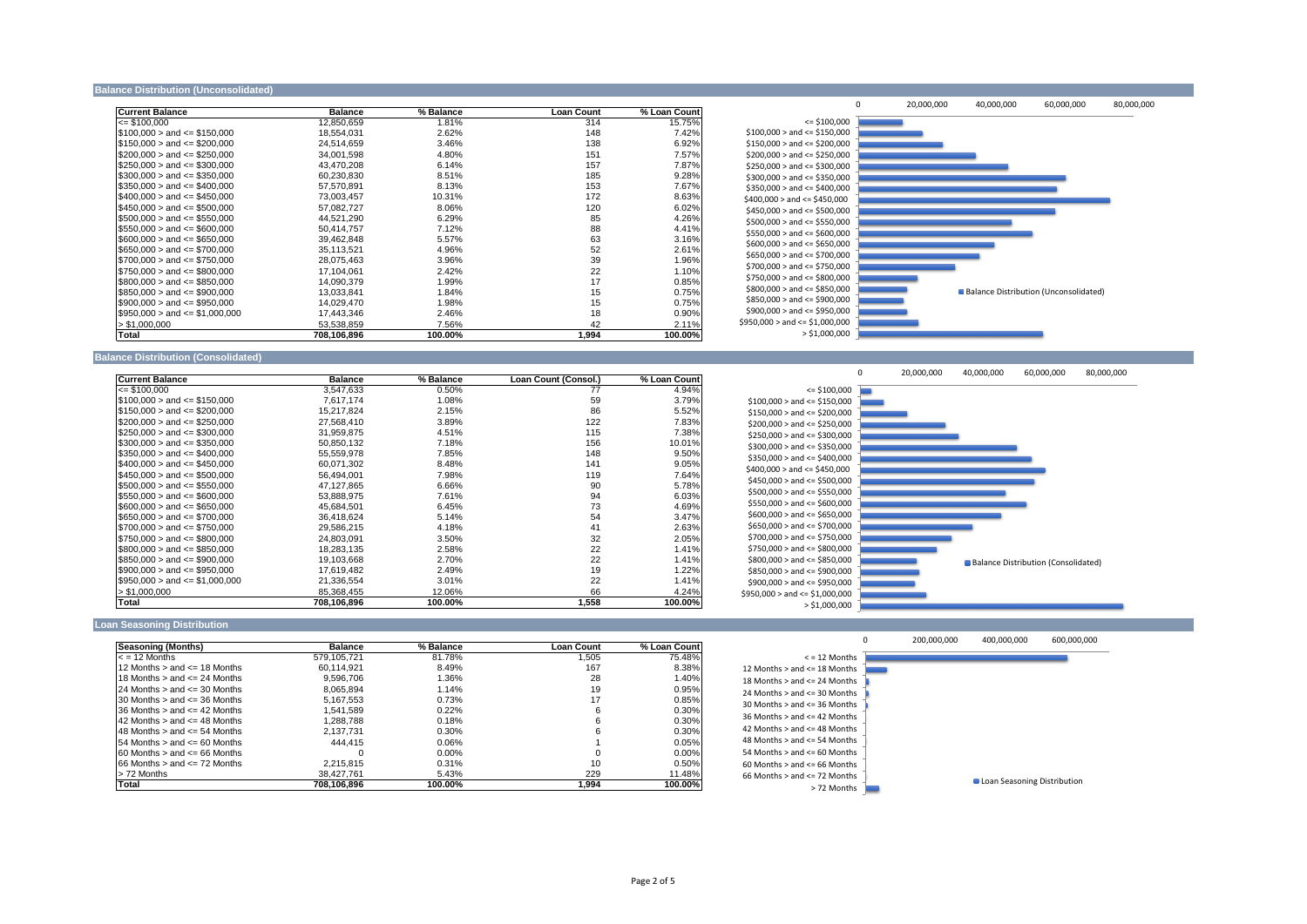#### **Balance Distribution (Unconsolidated)**

| <b>Current Balance</b>             | <b>Balance</b> | % Balance | <b>Loan Count</b> | % Loan Count |                              |
|------------------------------------|----------------|-----------|-------------------|--------------|------------------------------|
| $=$ \$100,000                      | 12,850,659     | 1.81%     | 314               | 15.75%       |                              |
| $$100,000 >$ and $\leq$ \$150,000  | 18,554,031     | 2.62%     | 148               | 7.42%        | \$100,000 > and <            |
| $\$150,000>$ and <= \$200,000      | 24,514,659     | 3.46%     | 138               | 6.92%        | \$150,000 > and <            |
| $$200,000 >$ and $\leq$ \$250,000  | 34,001,598     | 4.80%     | 151               | 7.57%        | \$200,000 > and <            |
| $$250,000 >$ and $\leq$ \$300,000  | 43,470,208     | 6.14%     | 157               | 7.87%        | \$250,000 > and <            |
| $\$300,000 >$ and <= \$350,000     | 60,230,830     | 8.51%     | 185               | 9.28%        | \$300,000 > and <            |
| $$350,000 >$ and $\leq $400,000$   | 57,570,891     | 8.13%     | 153               | 7.67%        | \$350,000 > and <            |
| $$400,000 >$ and $\leq $450,000$   | 73,003,457     | 10.31%    | 172               | 8.63%        | \$400,000 > and <            |
| $$450,000 >$ and $\leq$ \$500,000  | 57,082,727     | 8.06%     | 120               | 6.02%        | \$450,000 > and <            |
| $\$500,000>$ and <= \$550,000      | 44,521,290     | 6.29%     | 85                | 4.26%        | \$500,000 > and <            |
| $\$550,000>$ and <= \$600,000      | 50,414,757     | 7.12%     | 88                | 4.41%        | \$550,000 > and <            |
| $$600,000 >$ and $\leq $650,000$   | 39,462,848     | 5.57%     | 63                | 3.16%        | \$600,000 > and <            |
| $$650,000 >$ and $\leq$ \$700,000  | 35,113,521     | 4.96%     | 52                | 2.61%        | \$650,000 > and <            |
| $\$700,000 >$ and <= \$750,000     | 28,075,463     | 3.96%     | 39                | 1.96%        | \$700,000 > and <            |
| $$750,000 >$ and $\leq$ \$800,000  | 17,104,061     | 2.42%     | 22                | 1.10%        |                              |
| $$800,000 >$ and $\leq $850,000$   | 14,090,379     | 1.99%     | 17                | 0.85%        | \$750,000 > and <            |
| $\$850,000>$ and $\leq$ \$900,000  | 13,033,841     | 1.84%     | 15                | 0.75%        | \$800,000 > and <            |
| $$900,000 >$ and $\leq$ \$950,000  | 14,029,470     | 1.98%     | 15                | 0.75%        | \$850,000 > and <            |
| $$950,000 >$ and $\leq $1,000,000$ | 17,443,346     | 2.46%     | 18                | 0.90%        | \$900,000 > and <            |
| > \$1,000,000                      | 53,538,859     | 7.56%     | 42                | 2.11%        | \$950,000 > and <= $\degree$ |
| Total                              | 708,106,896    | 100.00%   | 1,994             | 100.00%      | $\geq$                       |

### **Balance Distribution (Consolidated)**

| <b>Current Balance</b>             | <b>Balance</b> | % Balance | <b>Loan Count (Consol.)</b> | % Loan Count |                                  |
|------------------------------------|----------------|-----------|-----------------------------|--------------|----------------------------------|
| $\le$ \$100,000                    | 3,547,633      | 0.50%     | 77                          | 4.94%        |                                  |
| $\$100,000>$ and $\leq$ \$150,000  | 7,617,174      | 1.08%     | 59                          | 3.79%        | \$100,000 > and <                |
| $\$150,000>$ and <= \$200,000      | 15,217,824     | 2.15%     | 86                          | 5.52%        | \$150,000 > and <                |
| $\$200,000 >$ and $\leq$ \$250,000 | 27,568,410     | 3.89%     | 122                         | 7.83%        | \$200,000 > and <                |
| $\$250,000>$ and <= $\$300,000$    | 31,959,875     | 4.51%     | 115                         | 7.38%        | \$250,000 > and <                |
| $\$300,000>$ and <= \$350,000      | 50,850,132     | 7.18%     | 156                         | 10.01%       | \$300,000 > and <                |
| $\$350,000 >$ and <= \$400,000     | 55,559,978     | 7.85%     | 148                         | 9.50%        | \$350,000 > and <                |
| $$400,000 >$ and $\leq $450,000$   | 60,071,302     | 8.48%     | 141                         | 9.05%        | \$400,000 > and <                |
| $\$450,000>$ and <= \$500,000      | 56,494,001     | 7.98%     | 119                         | 7.64%        | \$450,000 > and <                |
| $\$500,000>$ and <= $\$550,000$    | 47,127,865     | 6.66%     | 90                          | 5.78%        |                                  |
| $\$550,000>$ and <= $\$600,000$    | 53,888,975     | 7.61%     | 94                          | 6.03%        | \$500,000 > and <                |
| $$600,000 >$ and $\leq$ \$650,000  | 45,684,501     | 6.45%     | 73                          | 4.69%        | \$550,000 > and <                |
| $\$650,000>$ and <= \$700,000      | 36,418,624     | 5.14%     | 54                          | 3.47%        | \$600,000 > and <                |
| $\$700,000>$ and <= $\$750,000$    | 29,586,215     | 4.18%     | 41                          | 2.63%        | \$650,000 > and <                |
| $\$750,000>$ and <= $\$800,000$    | 24,803,091     | 3.50%     | 32                          | 2.05%        | \$700,000 > and <                |
| $\$800,000>$ and $\leq$ \$850,000  | 18,283,135     | 2.58%     | 22                          | 1.41%        | \$750,000 > and <                |
| $\$850,000>$ and <= \$900,000      | 19,103,668     | 2.70%     | 22                          | 1.41%        | \$800,000 > and <                |
| $\$900,000 >$ and <= \$950,000     | 17,619,482     | 2.49%     | 19                          | 1.22%        | \$850,000 > and <                |
| $ \$950,000>$ and <= $\$1,000,000$ | 21,336,554     | 3.01%     | 22                          | 1.41%        | \$900,000 > and <                |
| > \$1,000,000                      | 85,368,455     | 12.06%    | 66                          | 4.24%        | \$950,000 > and <= $\frac{1}{2}$ |
| <b>Total</b>                       | 708,106,896    | 100.00%   | 1,558                       | 100.00%      | >∶                               |

#### **Loan Seasoning Distribution**

| <b>Seasoning (Months)</b>             | <b>Balance</b> | % Balance | Loan Count | % Loan Count |                     |
|---------------------------------------|----------------|-----------|------------|--------------|---------------------|
| < = 12 Months                         | 579.105.721    | 81.78%    | 505        | 75.48%       |                     |
| 12 Months $>$ and $\leq$ 18 Months    | 60.114.921     | 8.49%     | 167        | 8.38%        | 12 Months $>$ and   |
| 18 Months $>$ and $\leq$ 24 Months    | 9.596.706      | 1.36%     | 28         | 1.40%        | 18 Months $>$ and   |
| $124$ Months $>$ and $\leq$ 30 Months | 8.065.894      | 1.14%     | 19         | 0.95%        | 24 Months $>$ and   |
| $130$ Months $>$ and $\leq$ 36 Months | 5.167.553      | 0.73%     | 17         | 0.85%        | $30$ Months $>$ and |
| $136$ Months $>$ and $\leq$ 42 Months | 1.541.589      | 0.22%     | 6          | $0.30\%$     |                     |
| $142$ Months $>$ and $\leq$ 48 Months | 1.288.788      | 0.18%     |            | 0.30%        | $36$ Months $>$ and |
| $148$ Months $>$ and $\leq$ 54 Months | 2.137.731      | $0.30\%$  |            | $0.30\%$     | 42 Months > and     |
| $154$ Months $>$ and $\leq$ 60 Months | 444.415        | 0.06%     |            | 0.05%        | 48 Months > and     |
| $160$ Months $>$ and $\leq$ 66 Months |                | $0.00\%$  |            | $0.00\%$     | 54 Months $>$ and   |
| $166$ Months $>$ and $\leq$ 72 Months | 2.215.815      | 0.31%     | 10         | 0.50%        | $60$ Months $>$ and |
| l> 72 Months                          | 38.427.761     | 5.43%     | 229        | 11.48%       | $66$ Months $>$ and |
| <b>Total</b>                          | 708,106,896    | 100.00%   | 1,994      | 100.00%      |                     |





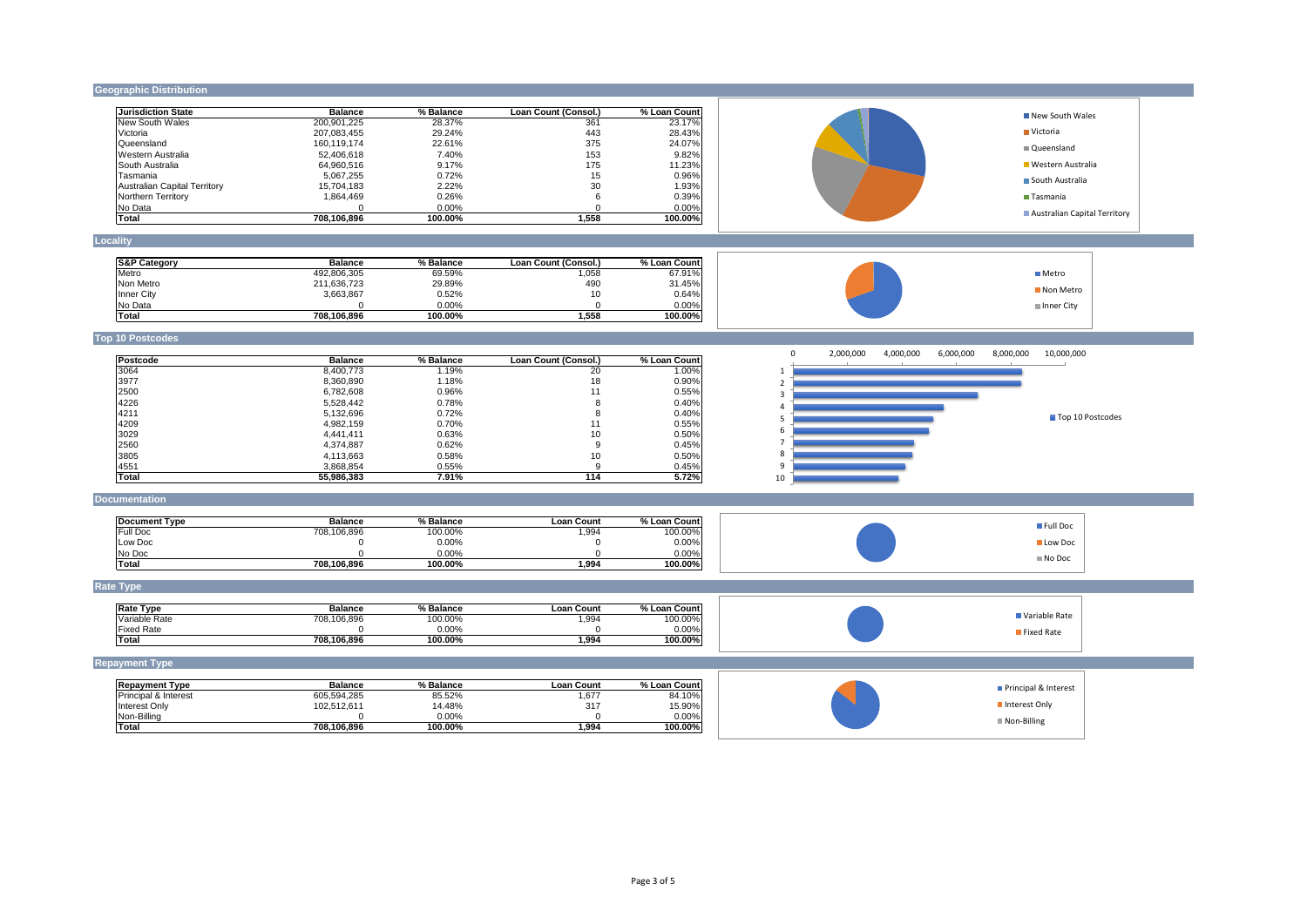### **Geographic Distribution**

| <b>Jurisdiction State</b>    | <b>Balance</b> | % Balance | Loan Count (Consol.) | % Loan Countl |
|------------------------------|----------------|-----------|----------------------|---------------|
| New South Wales              | 200,901,225    | 28.37%    | 361                  | 23.17%        |
| Victoria                     | 207,083,455    | 29.24%    | 443                  | 28.43%        |
| Queensland                   | 160,119,174    | 22.61%    | 375                  | 24.07%        |
| Western Australia            | 52.406.618     | 7.40%     | 153                  | 9.82%         |
| ISouth Australia             | 64,960,516     | 9.17%     | 175                  | 11.23%        |
| <b>Tasmania</b>              | 5,067,255      | 0.72%     | 15                   | 0.96%         |
| Australian Capital Territory | 15,704,183     | 2.22%     | 30                   | 1.93%         |
| Northern Territory           | 1,864,469      | 0.26%     | 6                    | 0.39%         |
| No Data                      |                | $0.00\%$  |                      | 0.00%         |
| <b>Total</b>                 | 708,106,896    | 100.00%   | 1,558                | 100.00%       |

# **Locality**

| <b>S&amp;P Category</b> | <b>Balance</b> | % Balance | Loan Count (Consol.) | % Loan Countl |
|-------------------------|----------------|-----------|----------------------|---------------|
| <b>Metro</b>            | 492,806,305    | 69.59%    | ,058                 | 67.91%        |
| Non Metro               | 211,636,723    | 29.89%    | 490                  | 31.45%        |
| <b>Inner City</b>       | 3,663,867      | 0.52%     | 10                   | 0.64%         |
| No Data                 |                | $0.00\%$  |                      | 0.00%         |
| Total                   | 708.106.896    | 100.00%   | ,558                 | $100.00\%$    |

# **Top 10 Postcodes**

# **Documentation**

| <b>IDocument Type</b> | <b>Balance</b> | % Balance | <b>Loan Count</b> | % Loan Countl |
|-----------------------|----------------|-----------|-------------------|---------------|
| <b>IFull Doc</b>      | 708,106,896    | 100.00%   | 994, ا            | 100.00%       |
| Low Doc               |                | 0.00%     |                   | 0.00%         |
| No Doc                |                | 0.00%     |                   | $0.00\%$      |
| Total                 | 708,106,896    | 100.00%   | .994,             | 100.00%       |

| Postcode     | <b>Balance</b> | % Balance | Loan Count (Consol.) | % Loan Count | υ  |
|--------------|----------------|-----------|----------------------|--------------|----|
| 3064         | 8,400,773      | 1.19%     | 20                   | 1.00%        |    |
| 3977         | 8,360,890      | 1.18%     | 18                   | 0.90%        |    |
| 2500         | 6,782,608      | 0.96%     | 11                   | 0.55%        |    |
| 4226         | 5,528,442      | 0.78%     | 8                    | 0.40%        |    |
| 4211         | 5,132,696      | 0.72%     | 8                    | 0.40%        |    |
| 4209         | 4,982,159      | 0.70%     | 11                   | 0.55%        |    |
| 3029         | 4,441,411      | 0.63%     | 10                   | 0.50%        | ь  |
| 2560         | 4,374,887      | 0.62%     | 9                    | 0.45%        |    |
| 3805         | 4,113,663      | 0.58%     | 10                   | 0.50%        | 8  |
| 4551         | 3,868,854      | 0.55%     |                      | 0.45%        | 9  |
| <b>Total</b> | 55,986,383     | 7.91%     | 114                  | 5.72%        | 10 |

# **Rate Type**

| lRate Tvpe        | <b>Balance</b> | % Balance | Loan Count | % Loan Countl |
|-------------------|----------------|-----------|------------|---------------|
| Variable Rate     | 708.106.896    | 100.00%   | ,994       | 100.00%       |
| <b>Fixed Rate</b> |                | $0.00\%$  |            | $0.00\%$      |
| <b>Total</b>      | 708,106,896    | 100.00%   | ,994       | 100.00%       |

# **Repayment Type**

| <b>Repayment Type</b>           | <b>Balance</b> | % Balance | <b>Loan Count</b> | % Loan Count |
|---------------------------------|----------------|-----------|-------------------|--------------|
| <b>Principal &amp; Interest</b> | 605,594,285    | 85.52%    | ,677              | 84.10%       |
| <b>Interest Only</b>            | 102.512.611    | 14.48%    | 317               | 15.90%       |
| Non-Billing                     |                | $0.00\%$  |                   | 0.00%        |
| Total                           | 708,106,896    | 100.00%   | .994              | 100.00%      |

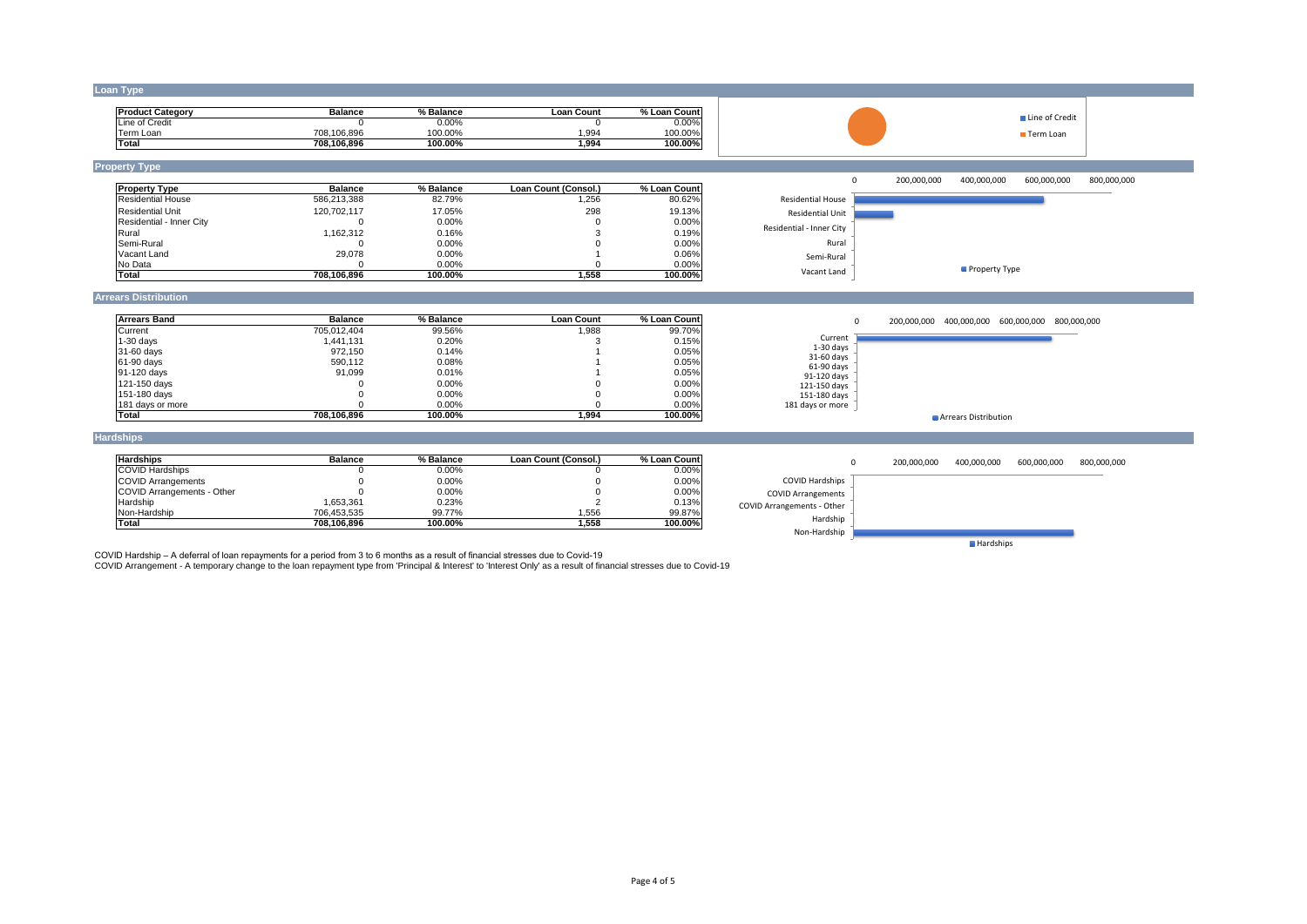#### **Loan Type**

| <b>IProduct Category</b> | <b>Balance</b> | % Balance | Loan Count | % Loan Count |
|--------------------------|----------------|-----------|------------|--------------|
| Line of Credit           |                | 0.00%     |            | $0.00\%$     |
| Term Loan                | 708,106,896    | 100.00%   | ,994       | $100.00\%$   |
| <b>Total</b>             | 708,106,896    | 100.00%   | ,994       | 100.00%      |

### **Property Type**

| <b>Balance</b> | <b>Property Type</b>      | % Balance | Loan Count (Consol.) | % Loan Count |               |
|----------------|---------------------------|-----------|----------------------|--------------|---------------|
| 586,213,388    | <b>IResidential House</b> | 82.79%    | ,256                 | 80.62%       | Residen       |
| 120,702,117    | <b>Residential Unit</b>   | 17.05%    | 298                  | 19.13%       | Reside        |
|                | Residential - Inner City  | $0.00\%$  |                      | 0.00%        |               |
| 1,162,312      | <b>Rural</b>              | 0.16%     |                      | 0.19%        | Residential - |
|                | Semi-Rural                | $0.00\%$  |                      | 0.00%        |               |
| 29,078         | Vacant Land               | $0.00\%$  |                      | 0.06%        |               |
|                | No Data                   | $0.00\%$  |                      | 0.00%        |               |
| 708,106,896    | Total                     | 100.00%   | ,558                 | 100.00%      | Va            |

#### **Arrears Distribution**

| <b>Arrears Band</b> | <b>Balance</b> | % Balance | <b>Loan Count</b> | % Loan Count |
|---------------------|----------------|-----------|-------------------|--------------|
| Current             | 705,012,404    | 99.56%    | ,988              | 99.70%       |
| $1-30$ days         | 1,441,131      | 0.20%     |                   | 0.15%        |
| 31-60 days          | 972,150        | 0.14%     |                   | 0.05%        |
| 61-90 days          | 590,112        | 0.08%     |                   | 0.05%        |
| 91-120 days         | 91,099         | 0.01%     |                   | 0.05%        |
| 121-150 days        |                | $0.00\%$  |                   | 0.00%        |
| 151-180 days        |                | $0.00\%$  |                   | 0.00%        |
| 181 days or more    |                | $0.00\%$  |                   | 0.00%        |
| <b>Total</b>        | 708,106,896    | 100.00%   | 1,994             | 100.00%      |

#### **Hardships**

| <b>Hardships</b>                  | <b>Balance</b> | % Balance | Loan Count (Consol.) | % Loan Countl |
|-----------------------------------|----------------|-----------|----------------------|---------------|
| <b>COVID Hardships</b>            |                | $0.00\%$  |                      | 0.00%         |
| <b>COVID Arrangements</b>         |                | 0.00%     |                      | 0.00%         |
| <b>COVID Arrangements - Other</b> |                | 0.00%     |                      | 0.00%         |
| Hardship                          | 1.653.361      | 0.23%     |                      | 0.13%         |
| INon-Hardship                     | 706.453.535    | 99.77%    | ,556                 | 99.87%        |
| Total                             | 708,106,896    | 100.00%   | .,558                | 100.00%       |

COVID Hardship – A deferral of loan repayments for a period from 3 to 6 months as a result of financial stresses due to Covid-19

COVID Arrangement - A temporary change to the loan repayment type from 'Principal & Interest' to 'Interest Only' as a result of financial stresses due to Covid-19